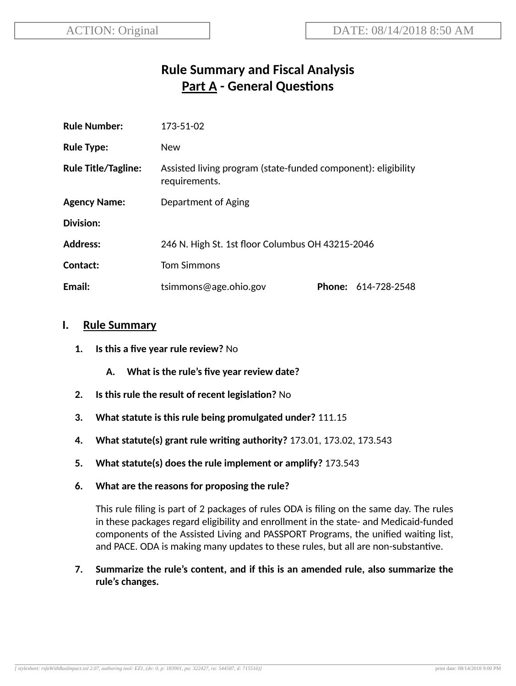# **Rule Summary and Fiscal Analysis Part A - General Questions**

| <b>Rule Number:</b>        | 173-51-02                                                                      |  |                            |
|----------------------------|--------------------------------------------------------------------------------|--|----------------------------|
| <b>Rule Type:</b>          | <b>New</b>                                                                     |  |                            |
| <b>Rule Title/Tagline:</b> | Assisted living program (state-funded component): eligibility<br>requirements. |  |                            |
| <b>Agency Name:</b>        | Department of Aging                                                            |  |                            |
| Division:                  |                                                                                |  |                            |
| <b>Address:</b>            | 246 N. High St. 1st floor Columbus OH 43215-2046                               |  |                            |
| Contact:                   | <b>Tom Simmons</b>                                                             |  |                            |
| Email:                     | tsimmons@age.ohio.gov                                                          |  | <b>Phone: 614-728-2548</b> |

#### **I. Rule Summary**

- **1. Is this a five year rule review?** No
	- **A. What is the rule's five year review date?**
- **2.** Is this rule the result of recent legislation? No
- **3. What statute is this rule being promulgated under?** 111.15
- **4. What statute(s) grant rule wring authority?** 173.01, 173.02, 173.543
- **5. What statute(s) does the rule implement or amplify?** 173.543
- **6. What are the reasons for proposing the rule?**

This rule filing is part of 2 packages of rules ODA is filing on the same day. The rules in these packages regard eligibility and enrollment in the state- and Medicaid-funded components of the Assisted Living and PASSPORT Programs, the unified waiting list, and PACE. ODA is making many updates to these rules, but all are non-substantive.

**7. Summarize the rule's content, and if this is an amended rule, also summarize the rule's changes.**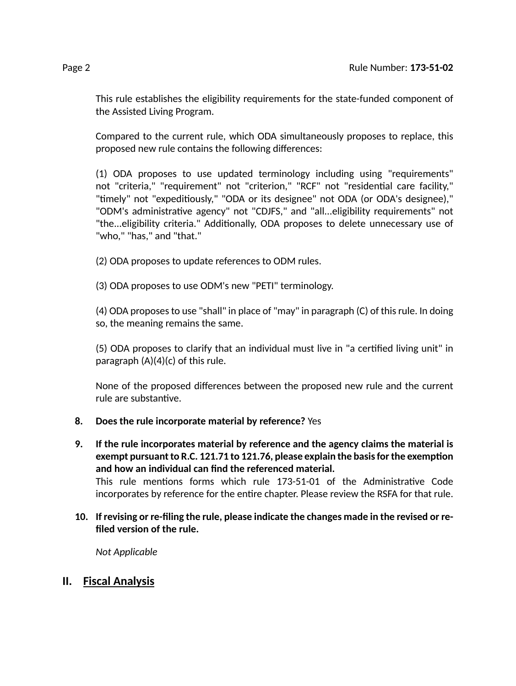This rule establishes the eligibility requirements for the state-funded component of the Assisted Living Program.

Compared to the current rule, which ODA simultaneously proposes to replace, this proposed new rule contains the following differences:

(1) ODA proposes to use updated terminology including using "requirements" not "criteria," "requirement" not "criterion," "RCF" not "residential care facility," "timely" not "expeditiously," "ODA or its designee" not ODA (or ODA's designee)," "ODM's administrative agency" not "CDJFS," and "all...eligibility requirements" not "the...eligibility criteria." Additionally, ODA proposes to delete unnecessary use of "who," "has," and "that."

(2) ODA proposes to update references to ODM rules.

(3) ODA proposes to use ODM's new "PETI" terminology.

(4) ODA proposes to use "shall" in place of "may" in paragraph (C) of this rule. In doing so, the meaning remains the same.

(5) ODA proposes to clarify that an individual must live in "a cerfied living unit" in paragraph  $(A)(4)(c)$  of this rule.

None of the proposed differences between the proposed new rule and the current rule are substantive.

# **8. Does the rule incorporate material by reference?** Yes

- **9. If the rule incorporates material by reference and the agency claims the material is exempt** pursuant to R.C. 121.71 to 121.76, please explain the basis for the exemption **and how an individual can find the referenced material.** This rule mentions forms which rule 173-51-01 of the Administrative Code incorporates by reference for the entire chapter. Please review the RSFA for that rule.
- **10. If revising or re-filing the rule, please indicate the changes made in the revised or refiled version of the rule.**

*Not Applicable*

# **II. Fiscal Analysis**